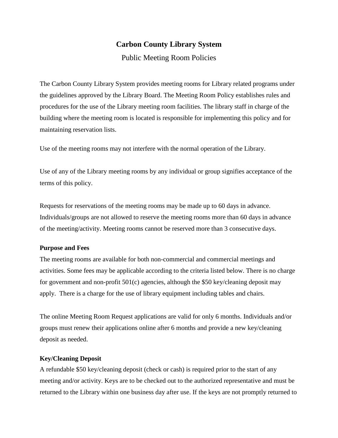# **Carbon County Library System**

## Public Meeting Room Policies

The Carbon County Library System provides meeting rooms for Library related programs under the guidelines approved by the Library Board. The Meeting Room Policy establishes rules and procedures for the use of the Library meeting room facilities. The library staff in charge of the building where the meeting room is located is responsible for implementing this policy and for maintaining reservation lists.

Use of the meeting rooms may not interfere with the normal operation of the Library.

Use of any of the Library meeting rooms by any individual or group signifies acceptance of the terms of this policy.

Requests for reservations of the meeting rooms may be made up to 60 days in advance. Individuals/groups are not allowed to reserve the meeting rooms more than 60 days in advance of the meeting/activity. Meeting rooms cannot be reserved more than 3 consecutive days.

#### **Purpose and Fees**

The meeting rooms are available for both non-commercial and commercial meetings and activities. Some fees may be applicable according to the criteria listed below. There is no charge for government and non-profit 501(c) agencies, although the \$50 key/cleaning deposit may apply. There is a charge for the use of library equipment including tables and chairs.

The online Meeting Room Request applications are valid for only 6 months. Individuals and/or groups must renew their applications online after 6 months and provide a new key/cleaning deposit as needed.

#### **Key/Cleaning Deposit**

A refundable \$50 key/cleaning deposit (check or cash) is required prior to the start of any meeting and/or activity. Keys are to be checked out to the authorized representative and must be returned to the Library within one business day after use. If the keys are not promptly returned to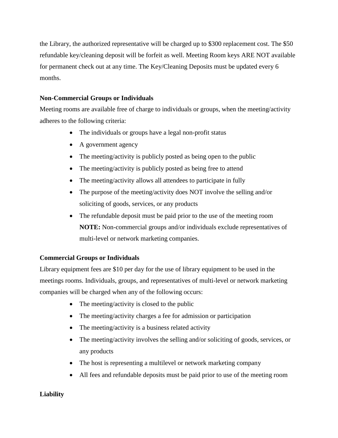the Library, the authorized representative will be charged up to \$300 replacement cost. The \$50 refundable key/cleaning deposit will be forfeit as well. Meeting Room keys ARE NOT available for permanent check out at any time. The Key/Cleaning Deposits must be updated every 6 months.

# **Non-Commercial Groups or Individuals**

Meeting rooms are available free of charge to individuals or groups, when the meeting/activity adheres to the following criteria:

- The individuals or groups have a legal non-profit status
- A government agency
- The meeting/activity is publicly posted as being open to the public
- The meeting/activity is publicly posted as being free to attend
- The meeting/activity allows all attendees to participate in fully
- The purpose of the meeting/activity does NOT involve the selling and/or soliciting of goods, services, or any products
- The refundable deposit must be paid prior to the use of the meeting room **NOTE:** Non-commercial groups and/or individuals exclude representatives of multi-level or network marketing companies.

# **Commercial Groups or Individuals**

Library equipment fees are \$10 per day for the use of library equipment to be used in the meetings rooms. Individuals, groups, and representatives of multi-level or network marketing companies will be charged when any of the following occurs:

- The meeting/activity is closed to the public
- The meeting/activity charges a fee for admission or participation
- The meeting/activity is a business related activity
- The meeting/activity involves the selling and/or soliciting of goods, services, or any products
- The host is representing a multilevel or network marketing company
- All fees and refundable deposits must be paid prior to use of the meeting room

# **Liability**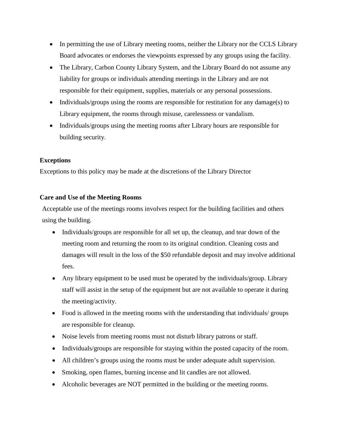- In permitting the use of Library meeting rooms, neither the Library nor the CCLS Library Board advocates or endorses the viewpoints expressed by any groups using the facility.
- The Library, Carbon County Library System, and the Library Board do not assume any liability for groups or individuals attending meetings in the Library and are not responsible for their equipment, supplies, materials or any personal possessions.
- Individuals/groups using the rooms are responsible for restitution for any damage(s) to Library equipment, the rooms through misuse, carelessness or vandalism.
- Individuals/groups using the meeting rooms after Library hours are responsible for building security.

### **Exceptions**

Exceptions to this policy may be made at the discretions of the Library Director

### **Care and Use of the Meeting Rooms**

Acceptable use of the meetings rooms involves respect for the building facilities and others using the building.

- Individuals/groups are responsible for all set up, the cleanup, and tear down of the meeting room and returning the room to its original condition. Cleaning costs and damages will result in the loss of the \$50 refundable deposit and may involve additional fees.
- Any library equipment to be used must be operated by the individuals/group. Library staff will assist in the setup of the equipment but are not available to operate it during the meeting/activity.
- Food is allowed in the meeting rooms with the understanding that individuals/ groups are responsible for cleanup.
- Noise levels from meeting rooms must not disturb library patrons or staff.
- Individuals/groups are responsible for staying within the posted capacity of the room.
- All children's groups using the rooms must be under adequate adult supervision.
- Smoking, open flames, burning incense and lit candles are not allowed.
- Alcoholic beverages are NOT permitted in the building or the meeting rooms.